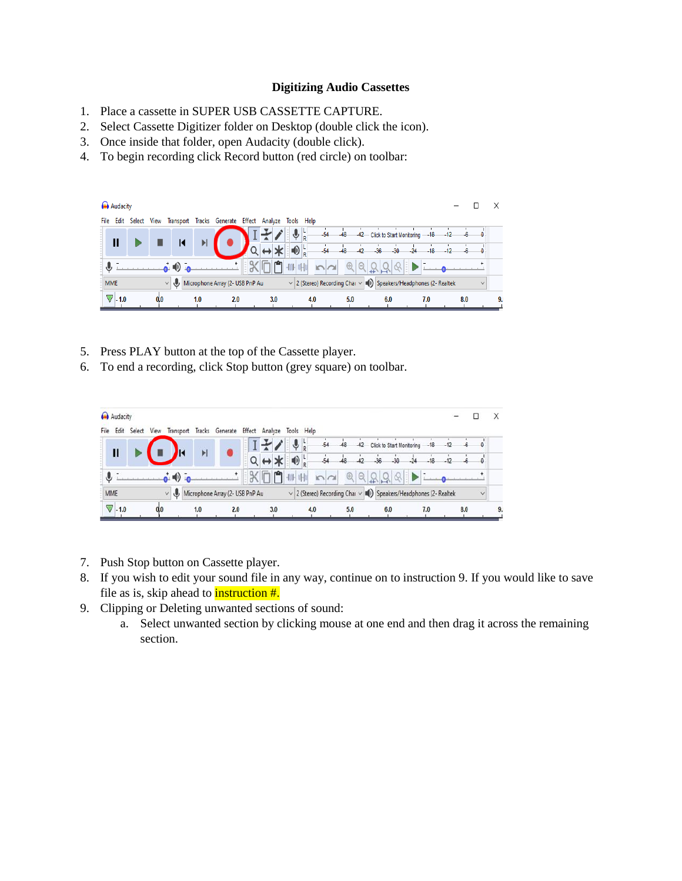## **Digitizing Audio Cassettes**

- 1. Place a cassette in SUPER USB CASSETTE CAPTURE.
- 2. Select Cassette Digitizer folder on Desktop (double click the icon).
- 3. Once inside that folder, open Audacity (double click).
- 4. To begin recording click Record button (red circle) on toolbar:



- 5. Press PLAY button at the top of the Cassette player.
- 6. To end a recording, click Stop button (grey square) on toolbar.



- 7. Push Stop button on Cassette player.
- 8. If you wish to edit your sound file in any way, continue on to instruction 9. If you would like to save file as is, skip ahead to **instruction** #.
- 9. Clipping or Deleting unwanted sections of sound:
	- a. Select unwanted section by clicking mouse at one end and then drag it across the remaining section.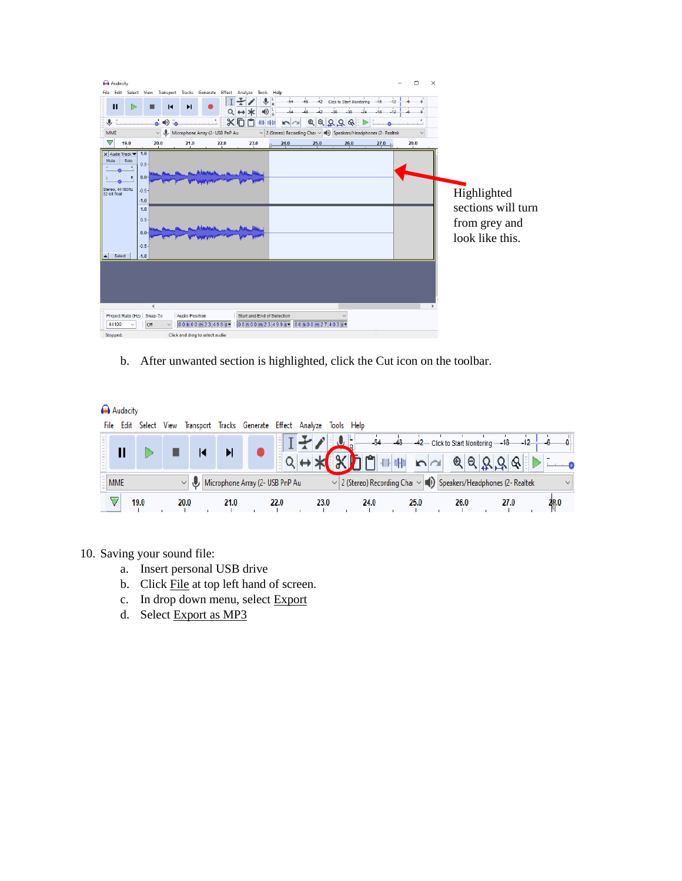| Audacity                        |                              |                                |                                 |                                                                           |                          |                                                                             |                                     |                  | о        | $\times$           |
|---------------------------------|------------------------------|--------------------------------|---------------------------------|---------------------------------------------------------------------------|--------------------------|-----------------------------------------------------------------------------|-------------------------------------|------------------|----------|--------------------|
|                                 |                              |                                |                                 | File Edit Select View Transport Tracks Generate Effect Analyze Tools Help |                          |                                                                             |                                     |                  |          |                    |
| $\mathbf{u}$                    | И                            | Þ                              |                                 | $\Psi_R$                                                                  | $-54$                    | $-48$                                                                       | -42 Click to Start Monitoring -- 18 | $-12$            | $\Omega$ |                    |
|                                 |                              |                                |                                 | $\bigoplus_{R} L$<br>∗                                                    | 54                       | $-36$                                                                       | 30                                  | $-12$            | Ω        |                    |
| €                               | $\triangle$ $\blacksquare$   |                                | $x_{\Pi}$                       | n/Hp<br>$-100-$                                                           | $\overline{\phantom{a}}$ | QQQQQ                                                                       |                                     |                  |          |                    |
| MME                             | $\mathbf{J}$<br>$\checkmark$ |                                | Microphone Array (2- USB PnP Au |                                                                           |                          | $\vee$ 2 (Stereo) Recording Chai $\vee$ (1) Speakers/Headphones (2- Realtek |                                     |                  |          |                    |
| $\triangledown$<br>19.0         | 20.0                         | 21.0                           | 22.0                            | 23.0                                                                      | 24.0                     | 25.0                                                                        | 26.0                                | $\frac{27.0}{4}$ | 28.0     |                    |
| X Audio Track ▼<br>Mute<br>Solo | 1.0                          |                                |                                 |                                                                           |                          |                                                                             |                                     |                  |          |                    |
| $\ddot{\phantom{1}}$            | $0.5 -$                      |                                |                                 |                                                                           |                          |                                                                             |                                     |                  |          |                    |
| $\mathbb{R}$                    | $0.0 -$                      |                                |                                 |                                                                           |                          |                                                                             |                                     |                  |          |                    |
| Stereo, 44100Hz                 | $-0.5 -$                     |                                |                                 |                                                                           |                          |                                                                             |                                     |                  |          |                    |
| 32-bit float                    | $-1.0$                       |                                |                                 |                                                                           |                          |                                                                             |                                     |                  |          | Highlighted        |
|                                 | 1.0                          |                                |                                 |                                                                           |                          |                                                                             |                                     |                  |          | sections will turn |
|                                 | $0.5 -$                      |                                |                                 |                                                                           |                          |                                                                             |                                     |                  |          |                    |
|                                 |                              |                                |                                 |                                                                           |                          |                                                                             |                                     |                  |          | from grey and      |
|                                 | $0.0 -$                      |                                |                                 |                                                                           |                          |                                                                             |                                     |                  |          | look like this.    |
|                                 | $-0.5 -$                     |                                |                                 |                                                                           |                          |                                                                             |                                     |                  |          |                    |
| Select                          | $-1.0$                       |                                |                                 |                                                                           |                          |                                                                             |                                     |                  |          |                    |
|                                 |                              |                                |                                 |                                                                           |                          |                                                                             |                                     |                  |          |                    |
|                                 |                              |                                |                                 |                                                                           |                          |                                                                             |                                     |                  |          |                    |
|                                 |                              |                                |                                 |                                                                           |                          |                                                                             |                                     |                  |          |                    |
|                                 |                              |                                |                                 |                                                                           |                          |                                                                             |                                     |                  |          |                    |
|                                 | $\hat{}$                     |                                |                                 |                                                                           |                          |                                                                             |                                     |                  |          |                    |
| Project Rate (Hz) Snap-To       |                              | <b>Audio Position</b>          |                                 | <b>Start and End of Selection</b>                                         |                          |                                                                             |                                     |                  |          |                    |
| 44100                           | Off                          |                                | 00 h 00 m 23.499 s-             | 00 h 00 m 23.499 s 00 h 00 m 27.403 s v                                   |                          |                                                                             |                                     |                  |          |                    |
| Stopped.                        |                              | Click and drag to select audio |                                 |                                                                           |                          |                                                                             |                                     |                  |          |                    |

b. After unwanted section is highlighted, click the Cut icon on the toolbar.

Audacity

| File | Edit       | Select | View |      |      | Transport Tracks Generate Effect Analyze Tools Help |      |      |      |                                                                             |       |                                   |      |      |
|------|------------|--------|------|------|------|-----------------------------------------------------|------|------|------|-----------------------------------------------------------------------------|-------|-----------------------------------|------|------|
|      |            |        |      |      |      |                                                     |      |      |      | $-48$<br>$-54$                                                              | $-42$ | Click to Start Monitoring --- 18- |      |      |
|      |            |        |      |      |      |                                                     |      |      |      |                                                                             |       |                                   |      |      |
|      | <b>MME</b> |        |      |      |      | Microphone Array (2- USB PnP Au                     |      |      |      | $\vee$ 2 (Stereo) Recording Char $\vee$ (1) Speakers/Headphones (2- Realtek |       |                                   |      |      |
|      |            | 19.0   |      | 20.0 | 21.0 |                                                     | 22.0 | 23.0 | 24.0 |                                                                             | 25.0  | 26.0                              | 27.0 | 28.0 |

- 10. Saving your sound file:
	- a. Insert personal USB drive
	- b. Click File at top left hand of screen.
	- c. In drop down menu, select  $\overline{\text{Export}}$
	- d. Select Export as MP3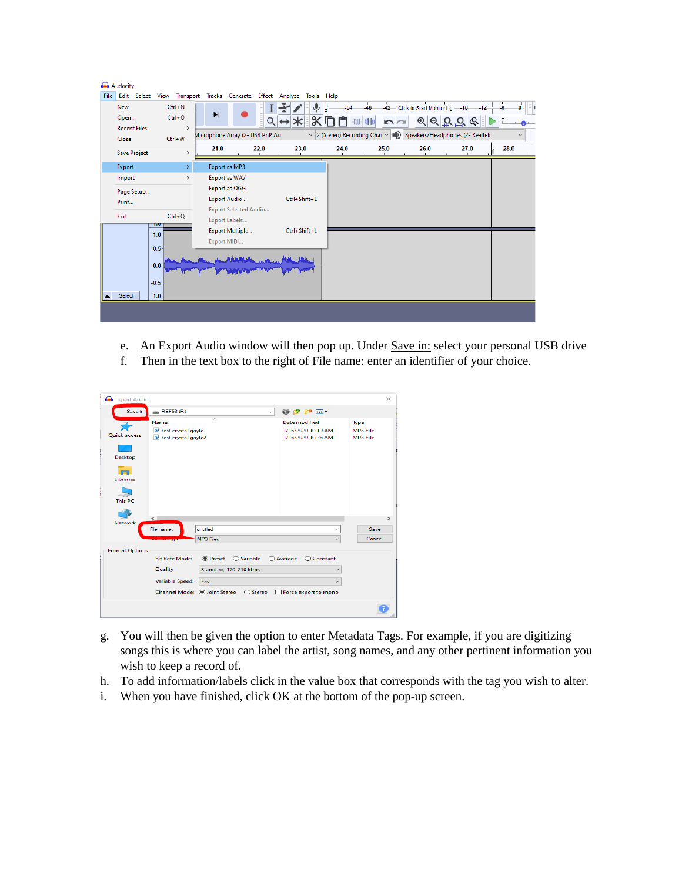|      | Audacity            |                               |                                 |                              |                                                                      |       |                                                                             |                                 |            |              |
|------|---------------------|-------------------------------|---------------------------------|------------------------------|----------------------------------------------------------------------|-------|-----------------------------------------------------------------------------|---------------------------------|------------|--------------|
| File |                     |                               |                                 |                              | Edit Select View Transport Tracks Generate Effect Analyze Tools Help |       |                                                                             |                                 |            |              |
|      | New                 | $Ctrl + N$                    |                                 |                              | $\mathbf{\Psi}_{\mathsf{R}}^{\mathsf{L}}$                            | $-54$ | $\mathbf{L}$<br>$-42$<br>48                                                 | Click to Start Monitoring -- 18 | π<br>$-12$ |              |
|      | Open                | $Ctrl + O$                    | N                               |                              |                                                                      |       |                                                                             | $^{\circledR}$<br>Q             |            |              |
|      | <b>Recent Files</b> | $\rightarrow$                 |                                 |                              |                                                                      |       |                                                                             |                                 |            |              |
|      | Close               | Ctrl+W                        | Microphone Array (2- USB PnP Au |                              |                                                                      |       | $\vee$ 2 (Stereo) Recording Chai $\vee$ (1) Speakers/Headphones (2- Realtek |                                 |            | $\checkmark$ |
|      | Save Project        |                               | 21.0                            | 22.0                         | 23.0                                                                 | 24.0  | 25.0                                                                        | 26.0                            | 27.0       | 28.0         |
|      | Export              | ×.                            | Export as MP3                   |                              |                                                                      |       |                                                                             |                                 |            |              |
|      | Import              | $\rightarrow$                 | Export as WAV                   |                              |                                                                      |       |                                                                             |                                 |            |              |
|      | Page Setup          |                               | Export as OGG                   |                              |                                                                      |       |                                                                             |                                 |            |              |
|      | Print               |                               | Export Audio                    |                              | Ctrl+Shift+E                                                         |       |                                                                             |                                 |            |              |
|      | Exit                | $Ctrl + Q$                    |                                 | <b>Export Selected Audio</b> |                                                                      |       |                                                                             |                                 |            |              |
|      |                     | -1.0                          | Export Labels                   |                              |                                                                      |       |                                                                             |                                 |            |              |
|      |                     | 1.0                           | Export Multiple                 |                              | Ctrl+Shift+L                                                         |       |                                                                             |                                 |            |              |
|      |                     | $0.5 -$                       | Export MIDI                     |                              |                                                                      |       |                                                                             |                                 |            |              |
|      | Select              | $0.0 -$<br>$-0.5 -$<br>$-1.0$ |                                 |                              |                                                                      |       |                                                                             |                                 |            |              |
|      |                     |                               |                                 |                              |                                                                      |       |                                                                             |                                 |            |              |

- e. An Export Audio window will then pop up. Under Save in: select your personal USB drive
- f. Then in the text box to the right of File name: enter an identifier of your choice.

| Export Audio              |                                                                                     |                                        |                                                                  | $\times$                     |  |  |  |  |  |  |  |  |  |
|---------------------------|-------------------------------------------------------------------------------------|----------------------------------------|------------------------------------------------------------------|------------------------------|--|--|--|--|--|--|--|--|--|
| Save in:                  | REF53(F)                                                                            | $\checkmark$                           | 0 0 0 0 0                                                        |                              |  |  |  |  |  |  |  |  |  |
| ਵ⊱<br><b>Ouick access</b> | Name<br>test crystal gayle<br>test crystal gayle2                                   |                                        | <b>Date modified</b><br>1/16/2020 10:19 AM<br>1/16/2020 10:26 AM | Type<br>MP3 File<br>MP3 File |  |  |  |  |  |  |  |  |  |
| Desktop                   |                                                                                     |                                        |                                                                  |                              |  |  |  |  |  |  |  |  |  |
| <b>Libraries</b>          |                                                                                     |                                        |                                                                  |                              |  |  |  |  |  |  |  |  |  |
| This PC                   |                                                                                     |                                        |                                                                  |                              |  |  |  |  |  |  |  |  |  |
| <b>Network</b>            | $\epsilon$                                                                          |                                        |                                                                  | $\rightarrow$                |  |  |  |  |  |  |  |  |  |
|                           | File name:                                                                          | untitled<br>MP3 Files                  | $\checkmark$                                                     | Save<br>Cancel               |  |  |  |  |  |  |  |  |  |
| <b>Format Options</b>     | <b>PERSONAL PROPERTY</b>                                                            |                                        |                                                                  |                              |  |  |  |  |  |  |  |  |  |
|                           | ● Preset<br><b>Bit Rate Mode:</b><br>$\bigcirc$ Variable<br>○ Average<br>◯ Constant |                                        |                                                                  |                              |  |  |  |  |  |  |  |  |  |
|                           | Quality<br>Standard, 170-210 kbps                                                   |                                        |                                                                  |                              |  |  |  |  |  |  |  |  |  |
|                           | Variable Speed:                                                                     |                                        |                                                                  |                              |  |  |  |  |  |  |  |  |  |
|                           |                                                                                     | Channel Mode: . Doint Stereo  ○ Stereo | Force export to mono                                             |                              |  |  |  |  |  |  |  |  |  |
|                           |                                                                                     |                                        |                                                                  |                              |  |  |  |  |  |  |  |  |  |

- g. You will then be given the option to enter Metadata Tags. For example, if you are digitizing songs this is where you can label the artist, song names, and any other pertinent information you wish to keep a record of.
- h. To add information/labels click in the value box that corresponds with the tag you wish to alter.
- i. When you have finished, click  $\overline{\text{OK}}$  at the bottom of the pop-up screen.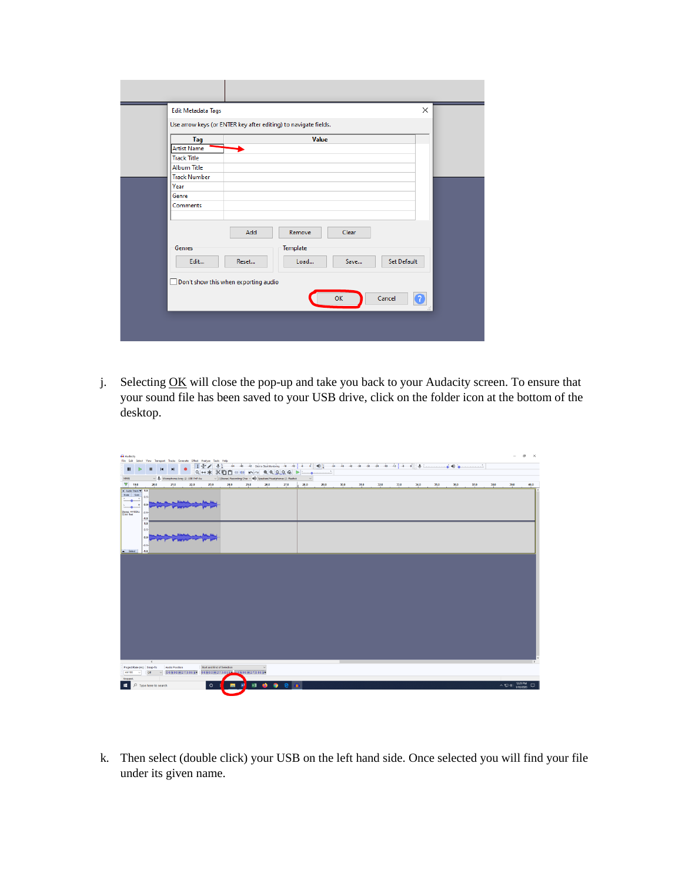| <b>Edit Metadata Tags</b> | $\times$                                                        |
|---------------------------|-----------------------------------------------------------------|
|                           | Use arrow keys (or ENTER key after editing) to navigate fields. |
| Tag                       | <b>Value</b>                                                    |
| <b>Artist Name</b>        |                                                                 |
| <b>Track Title</b>        |                                                                 |
| <b>Album Title</b>        |                                                                 |
| <b>Track Number</b>       |                                                                 |
| Year                      |                                                                 |
| Genre                     |                                                                 |
| Comments                  |                                                                 |
|                           |                                                                 |
|                           | Add<br>Remove<br>Clear                                          |
| Genres                    | Template                                                        |
| Edit                      | Set Default<br>Load<br>Reset<br>Save                            |
|                           | Don't show this when exporting audio                            |
|                           |                                                                 |
|                           | OK<br>Cancel<br>?                                               |
|                           |                                                                 |
|                           |                                                                 |
|                           |                                                                 |

j. Selecting OK will close the pop-up and take you back to your Audacity screen. To ensure that your sound file has been saved to your USB drive, click on the folder icon at the bottom of the desktop.

| $\sigma \times$<br><b>Ga</b> Audacity<br>File Edit Select View Transport Tracks Generate Effect Analyze Tools Help                             |                                                                              |                |                |                       |         |                            |                             |         |                                                                                                                                                                                                                                                                                                                                                                                                                                                                   |      |      |      |      |      |      |      |      |                |      |      |                |                    |
|------------------------------------------------------------------------------------------------------------------------------------------------|------------------------------------------------------------------------------|----------------|----------------|-----------------------|---------|----------------------------|-----------------------------|---------|-------------------------------------------------------------------------------------------------------------------------------------------------------------------------------------------------------------------------------------------------------------------------------------------------------------------------------------------------------------------------------------------------------------------------------------------------------------------|------|------|------|------|------|------|------|------|----------------|------|------|----------------|--------------------|
| $\mathbf{H}$                                                                                                                                   |                                                                              | $\blacksquare$ |                |                       |         |                            |                             |         | $\mathbb{E} \left[ \mathbb{P} \left[ \mathbb{P} \left[ \left[ \begin{array}{ccc} \mathbb{P} & \mathbb{P} \left[ \left[ \mathbb{P} \left[ \mathbb{P} \left[ \mathbb{P} \left[ \mathbb{P} \left[ \mathbb{P} \left[ \mathbb{P} \left[ \mathbb{P} \left[ \mathbb{P} \left[ \mathbb{P} \left[ \mathbb{P} \left[ \mathbb{P} \left[ \mathbb{P} \left[ \mathbb{P} \left[ \mathbb{P} \left[ \mathbb{P} \left[ \mathbb{P} \left[ \mathbb{P} \left[ \mathbb{P} \left[ \math$ |      |      |      |      |      | ٠    |      |      | $\phi \bullet$ |      |      |                |                    |
| MME                                                                                                                                            |                                                                              |                |                | USB PHP Au            |         |                            |                             |         | $Q \leftrightarrow \ast \times \square \square \blacksquare \blacksquare \blacksquare \bullet \sim \bullet \ @QQQQ@ \blacktriangleright$<br>$\sim$ 2 (Stereo) Recording Chas $\sim$ m(i) Speakers/Headphones (2- Realtek                                                                                                                                                                                                                                          |      |      |      |      |      |      |      |      |                |      |      |                |                    |
| $\nabla$ 19.0                                                                                                                                  | 20.0                                                                         |                | 21.0           | 22.0                  | 23.0    | 24.0                       | 25.0                        | 26.0    | 27.0                                                                                                                                                                                                                                                                                                                                                                                                                                                              | 28.0 | 29.0 | 30.0 | 31.0 | 32.0 | 33.0 | 34.0 | 35.0 | 36.0           | 37.0 | 38.0 | 39.0           | 40.0               |
| X Audio Track ¥ 1.0<br>Mute Solo<br>$\frac{1}{2}$<br>$\bullet$<br>anna i<br>$\mathbf{R}$<br>مسا<br>Stereo, 44100Hz<br>32-bit float<br>A Select | 0.5<br>0.0<br>$-0.5$<br>$-1.0$<br>1.0<br>$0.5 -$<br>0.0-<br>$-0.5 -$<br>.1.0 |                |                |                       |         |                            |                             |         |                                                                                                                                                                                                                                                                                                                                                                                                                                                                   |      |      |      |      |      |      |      |      |                |      |      |                |                    |
| Project Rate (Hz) Snap-To<br>44100<br>$\vee$<br>Stopped.                                                                                       | $\epsilon$<br><b>Off</b>                                                     |                | Audio Position | $\sqrt{00h00m27586s}$ |         | Start and End of Selection | 00600m2758539 00600m2758555 |         |                                                                                                                                                                                                                                                                                                                                                                                                                                                                   |      |      |      |      |      |      |      |      |                |      |      |                |                    |
| ٠                                                                                                                                              | $O$ Type here to search                                                      |                |                |                       | $\circ$ |                            | ы                           | xB<br>٠ | ۰                                                                                                                                                                                                                                                                                                                                                                                                                                                                 |      |      |      |      |      |      |      |      |                |      |      | $\wedge$ 53 46 | 12/29 PM<br>$\Box$ |

k. Then select (double click) your USB on the left hand side. Once selected you will find your file under its given name.